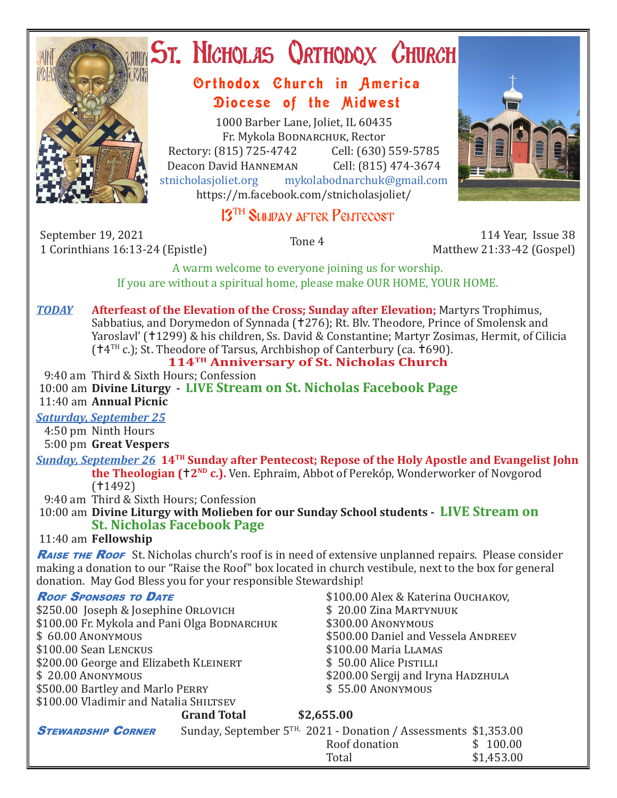

# **ST. NICHOLAS QRTHODOX CHURCH**

### Orthodox Church in America Diocese of the Midwest

1000 Barber Lane, Joliet, IL 60435 Fr. Mykola Bodnarchuk, Rector Rectory: (815) 725-4742 Cell: (630) 559-5785<br>Deacon David HANNEMAN Cell: (815) 474-3674 Deacon David HANNEMAN<br>stnicholasioliet.org mykola mykolabodnarchuk@gmail.com https://m.facebook.com/stnicholasjoliet/



## 13<sup>TH</sup> SUNDAY AFTER PENTECOST

September 19, 2021 114 Year, Issue 38 114 Year, Issue 38<br>1 Corinthians 16:13-24 (Epistle) 1 114 Year, Issue 38

Matthew 21:33-42 (Gospel)

A warm welcome to everyone joining us for worship. If you are without a spiritual home, please make OUR HOME, YOUR HOME.

#### *TODAY* **Afterfeast of the Elevation of the Cross; Sunday after Elevation;** Martyrs Trophimus, Sabbatius, and Dorymedon of Synnada (†276); Rt. Blv. Theodore, Prince of Smolensk and Yaroslavl' (†1299) & his children, Ss. David & Constantine; Martyr Zosimas, Hermit, of Cilicia  $(†4<sup>TH</sup> c.);$  St. Theodore of Tarsus, Archbishop of Canterbury (ca.  $†690$ ).

#### **114TH Anniversary of St. Nicholas Church**

9:40 am Third & Sixth Hours; Confession

 10:00 am **Divine Liturgy - LIVE Stream on St. Nicholas Facebook Page** 11:40 am **Annual Picnic**

#### *Saturday, September 25*

4:50 pm Ninth Hours

5:00 pm **Great Vespers**

*Sunday, September 26* **14TH Sunday after Pentecost; Repose of the Holy Apostle and Evangelist John the Theologian (†2<sup>ND</sup> c.).** Ven. Ephraim, Abbot of Perekóp, Wonderworker of Novgorod  $(1492)$ 

9:40 am Third & Sixth Hours; Confession

 10:00 am **Divine Liturgy with Molieben for our Sunday School students - LIVE Stream on St. Nicholas Facebook Page**

#### 11:40 am **Fellowship**

RAISE THE ROOF St. Nicholas church's roof is in need of extensive unplanned repairs. Please consider making a donation to our "Raise the Roof" box located in church vestibule, next to the box for general donation. May God Bless you for your responsible Stewardship!

\$250.00 Joseph & Josephine Orlovich \$ 20.00 Zina Martyn<br>\$ 20.00 Fr. Mykola and Pani Olga Bodnarchuk \$300.00 Anonymous \$100.00 Fr. Mykola and Pani Olga Bodnarchuk<br>\$100.00 Anonymous \$100.00 Sean Lenckus \$100.00 Maria Llamas \$200.00 George and Elizabeth KLEINERT<br>\$ 20.00 ANONYMOUS  $$500.00$  Bartley and Marlo PERRY \$100.00 Vladimir and Natalia SHILTSEV

**Roof Sponsors to Date** \$100.00 Alex & Katerina Ouchakov,<br>\$250.00 loseph & Iosephine Orlovich \$20.00 Zina Martynuuk \$500.00 Daniel and Vessela Andreev<br>\$100.00 Maria LLAMAS \$200.00 Sergij and Iryna Hadzhula<br>\$55.00 Anonymous

|                           | <b>Grand Total</b> | \$2,655.00                                                            |            |
|---------------------------|--------------------|-----------------------------------------------------------------------|------------|
| <b>STEWARDSHIP CORNER</b> |                    | Sunday, September $5^{TH}$ , 2021 - Donation / Assessments \$1,353.00 |            |
|                           |                    | Roof donation                                                         | \$100.00   |
|                           |                    | Total                                                                 | \$1,453.00 |